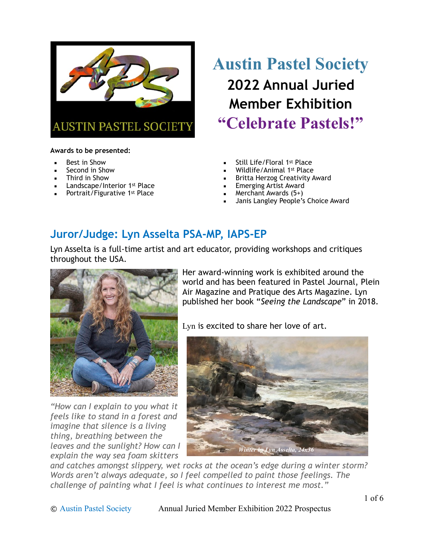

#### **Awards to be presented:**

- **Best in Show**
- Second in Show
- Third in Show
- **EXEC** Landscape/Interior 1st Place
- Portrait/Figurative 1st Place

# **Austin Pastel Society 2022 Annual Juried Member Exhibition "Celebrate Pastels!"**

- Still Life/Floral 1st Place
- Wildlife/Animal 1<sup>st</sup> Place
- Britta Herzog Creativity Award
- **Emerging Artist Award**
- Merchant Awards  $(5+)$
- Janis Langley People's Choice Award

### **Juror/Judge: [Lyn Asselta PSA-MP, IAPS-EP](https://www.lynasselta.com/)**

Lyn Asselta is a full-time artist and art educator, providing workshops and critiques throughout the USA.



*"How can I explain to you what it feels like to stand in a forest and imagine that silence is a living thing, breathing between the leaves and the sunlight? How can I explain the way sea foam skitters* 

Her award-winning work is exhibited around the world and has been featured in Pastel Journal, Plein Air Magazine and Pratique des Arts Magazine. Lyn published her book "*Seeing the Landscape*" in 2018.

Lyn is excited to share her love of art.



*and catches amongst slippery, wet rocks at the ocean's edge during a winter storm? Words aren't always adequate, so I feel compelled to paint those feelings. The challenge of painting what I feel is what continues to interest me most."*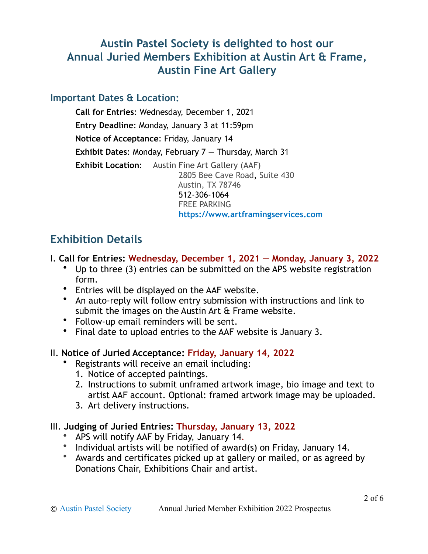### **Austin Pastel Society is delighted to host our Annual Juried Members Exhibition at Austin Art & Frame, Austin Fine Art Gallery**

#### **Important Dates & Location:**

**Call for Entries**: Wednesday, December 1, 2021 **Entry Deadline**: Monday, January 3 at 11:59pm **Notice of Acceptance**: Friday, January 14 **Exhibit Dates**: Monday, February 7 — Thursday, March 31 **Exhibit Location:** Austin Fine Art Gallery (AAF) 2805 Bee Cave Road, Suite 430 Austin, TX 78746 512-306-1064 FREE PARKING **<https://www.artframingservices.com>**

### **Exhibition Details**

- I. **Call for Entries: Wednesday, December 1, 2021 Monday, January 3, 2022**
	- Up to three (3) entries can be submitted on the APS website registration form.
	- Entries will be displayed on the AAF website.
	- An auto-reply will follow entry submission with instructions and link to submit the images on the Austin Art & Frame website.
	- Follow-up email reminders will be sent.
	- Final date to upload entries to the AAF website is January 3.

#### II. **Notice of Juried Acceptance: Friday, January 14, 2022**

- Registrants will receive an email including:
	- 1. Notice of accepted paintings.
	- 2. Instructions to submit unframed artwork image, bio image and text to artist AAF account. Optional: framed artwork image may be uploaded.
	- 3. Art delivery instructions.

#### III. **Judging of Juried Entries: Thursday, January 13, 2022**

- APS will notify AAF by Friday, January 14.
- Individual artists will be notified of award(s) on Friday, January 14.
- Awards and certificates picked up at gallery or mailed, or as agreed by Donations Chair, Exhibitions Chair and artist.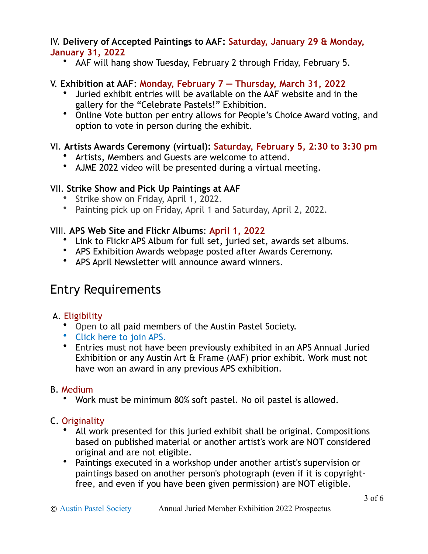#### IV. **Delivery of Accepted Paintings to AAF: Saturday, January 29 & Monday, January 31, 2022**

• AAF will hang show Tuesday, February 2 through Friday, February 5.

#### V. **Exhibition at AAF**: **Monday, February 7 — Thursday, March 31, 2022**

- Juried exhibit entries will be available on the AAF website and in the gallery for the "Celebrate Pastels!" Exhibition.
- Online Vote button per entry allows for People's Choice Award voting, and option to vote in person during the exhibit.

#### VI. **Artists Awards Ceremony (virtual): Saturday, February 5, 2:30 to 3:30 pm**

- Artists, Members and Guests are welcome to attend.
- AJME 2022 video will be presented during a virtual meeting.

#### VII. **Strike Show and Pick Up Paintings at AAF**

- Strike show on Friday, April 1, 2022.
- Painting pick up on Friday, April 1 and Saturday, April 2, 2022.

#### VIII. **APS Web Site and Flickr Albums**: **April 1, 2022**

- Link to Flickr APS Album for full set, juried set, awards set albums.
- APS Exhibition Awards webpage posted after Awards Ceremony.
- APS April Newsletter will announce award winners.

## Entry Requirements

#### A. Eligibility

- Open to all paid members of the Austin Pastel Society.
- [Click here to join APS.](https://www.austinpastelsociety.org/join-renew/)
- Entries must not have been previously exhibited in an APS Annual Juried Exhibition or any Austin Art & Frame (AAF) prior exhibit. Work must not have won an award in any previous APS exhibition.

#### B. Medium

• Work must be minimum 80% soft pastel. No oil pastel is allowed.

#### C. Originality

- All work presented for this juried exhibit shall be original. Compositions based on published material or another artist's work are NOT considered original and are not eligible.
- Paintings executed in a workshop under another artist's supervision or paintings based on another person's photograph (even if it is copyrightfree, and even if you have been given permission) are NOT eligible.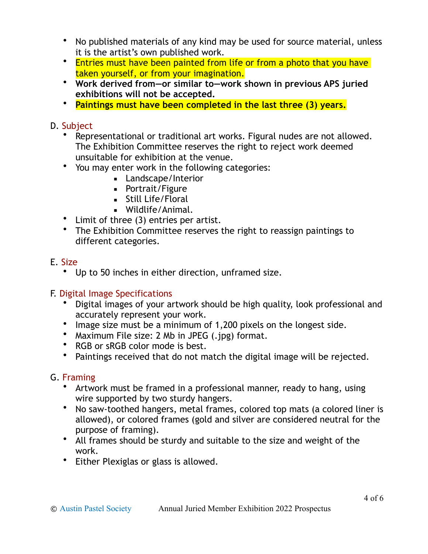- No published materials of any kind may be used for source material, unless it is the artist's own published work.
- Entries must have been painted from life or from a photo that you have taken yourself, or from your imagination.
- **Work derived from—or similar to—work shown in previous APS juried exhibitions will not be accepted.**
- **Paintings must have been completed in the last three (3) years.**

#### D. Subject

- Representational or traditional art works. Figural nudes are not allowed. The Exhibition Committee reserves the right to reject work deemed unsuitable for exhibition at the venue.
- You may enter work in the following categories:
	- **EXEC** Landscape/Interior
	- **•** Portrait/Figure
	- **E** Still Life/Floral
	- Wildlife/Animal.
- Limit of three (3) entries per artist.
- The Exhibition Committee reserves the right to reassign paintings to different categories.

#### E. Size

• Up to 50 inches in either direction, unframed size.

#### F. Digital Image Specifications

- Digital images of your artwork should be high quality, look professional and accurately represent your work.
- Image size must be a minimum of 1,200 pixels on the longest side.
- Maximum File size: 2 Mb in JPEG (.jpg) format.
- RGB or sRGB color mode is best.
- Paintings received that do not match the digital image will be rejected.

#### G. Framing

- Artwork must be framed in a professional manner, ready to hang, using wire supported by two sturdy hangers.
- No saw-toothed hangers, metal frames, colored top mats (a colored liner is allowed), or colored frames (gold and silver are considered neutral for the purpose of framing).
- All frames should be sturdy and suitable to the size and weight of the work.
- Either Plexiglas or glass is allowed.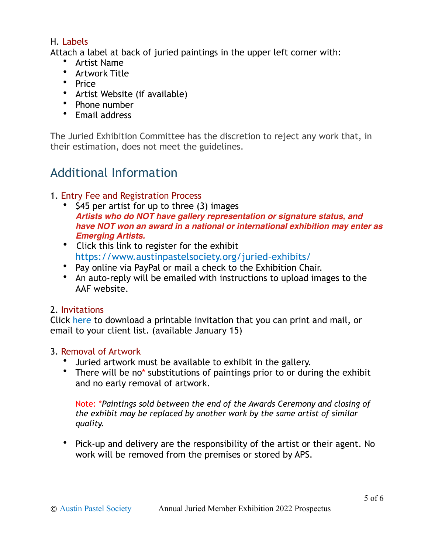#### H. Labels

Attach a label at back of juried paintings in the upper left corner with:

- Artist Name
- Artwork Title
- Price
- Artist Website (if available)
- Phone number
- Email address

The Juried Exhibition Committee has the discretion to reject any work that, in their estimation, does not meet the guidelines.

# Additional Information

#### 1. Entry Fee and Registration Process

- \$45 per artist for up to three (3) images *Artists who do NOT have gallery representation or signature status, and have NOT won an award in a national or international exhibition may enter as Emerging Artists.*
- Click this link to register for the exhibit <https://www.austinpastelsociety.org/juried-exhibits/>
- Pay online via PayPal or mail a check to the Exhibition Chair.
- An auto-reply will be emailed with instructions to upload images to the AAF website.

#### 2. Invitations

Click [here](https://www.austinpastelsociety.org/juried-exhibits/) to download a printable invitation that you can print and mail, or email to your client list. (available January 15)

#### 3. Removal of Artwork

- Juried artwork must be available to exhibit in the gallery.
- There will be no\* substitutions of paintings prior to or during the exhibit and no early removal of artwork.

Note: \**Paintings sold between the end of the Awards Ceremony and closing of the exhibit may be replaced by another work by the same artist of similar quality.*

• Pick-up and delivery are the responsibility of the artist or their agent. No work will be removed from the premises or stored by APS.